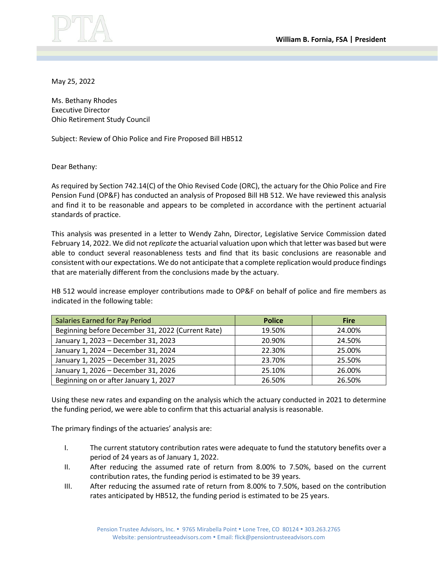

May 25, 2022

Ms. Bethany Rhodes Executive Director Ohio Retirement Study Council

Subject: Review of Ohio Police and Fire Proposed Bill HB512

Dear Bethany:

As required by Section 742.14(C) of the Ohio Revised Code (ORC), the actuary for the Ohio Police and Fire Pension Fund (OP&F) has conducted an analysis of Proposed Bill HB 512. We have reviewed this analysis and find it to be reasonable and appears to be completed in accordance with the pertinent actuarial standards of practice.

This analysis was presented in a letter to Wendy Zahn, Director, Legislative Service Commission dated February 14, 2022. We did not *replicate* the actuarial valuation upon which that letter was based but were able to conduct several reasonableness tests and find that its basic conclusions are reasonable and consistent with our expectations. We do not anticipate that a complete replication would produce findings that are materially different from the conclusions made by the actuary.

HB 512 would increase employer contributions made to OP&F on behalf of police and fire members as indicated in the following table:

| Salaries Earned for Pay Period                    | <b>Police</b> | <b>Fire</b> |
|---------------------------------------------------|---------------|-------------|
| Beginning before December 31, 2022 (Current Rate) | 19.50%        | 24.00%      |
| January 1, 2023 - December 31, 2023               | 20.90%        | 24.50%      |
| January 1, 2024 - December 31, 2024               | 22.30%        | 25.00%      |
| January 1, 2025 - December 31, 2025               | 23.70%        | 25.50%      |
| January 1, 2026 - December 31, 2026               | 25.10%        | 26.00%      |
| Beginning on or after January 1, 2027             | 26.50%        | 26.50%      |

Using these new rates and expanding on the analysis which the actuary conducted in 2021 to determine the funding period, we were able to confirm that this actuarial analysis is reasonable.

The primary findings of the actuaries' analysis are:

- I. The current statutory contribution rates were adequate to fund the statutory benefits over a period of 24 years as of January 1, 2022.
- II. After reducing the assumed rate of return from 8.00% to 7.50%, based on the current contribution rates, the funding period is estimated to be 39 years.
- III. After reducing the assumed rate of return from 8.00% to 7.50%, based on the contribution rates anticipated by HB512, the funding period is estimated to be 25 years.